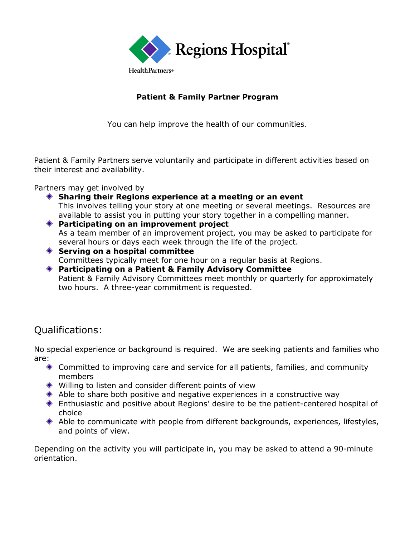

### **Patient & Family Partner Program**

You can help improve the health of our communities.

Patient & Family Partners serve voluntarily and participate in different activities based on their interest and availability.

Partners may get involved by

- **Sharing their Regions experience at a meeting or an event** This involves telling your story at one meeting or several meetings. Resources are available to assist you in putting your story together in a compelling manner.
- **Participating on an improvement project** As a team member of an improvement project, you may be asked to participate for several hours or days each week through the life of the project.
- **Serving on a hospital committee** Committees typically meet for one hour on a regular basis at Regions.
- **Participating on a Patient & Family Advisory Committee** Patient & Family Advisory Committees meet monthly or quarterly for approximately two hours. A three-year commitment is requested.

# Qualifications:

No special experience or background is required. We are seeking patients and families who are:

- Committed to improving care and service for all patients, families, and community members
- Willing to listen and consider different points of view
- Able to share both positive and negative experiences in a constructive way
- Enthusiastic and positive about Regions' desire to be the patient-centered hospital of choice
- Able to communicate with people from different backgrounds, experiences, lifestyles, and points of view.

Depending on the activity you will participate in, you may be asked to attend a 90-minute orientation.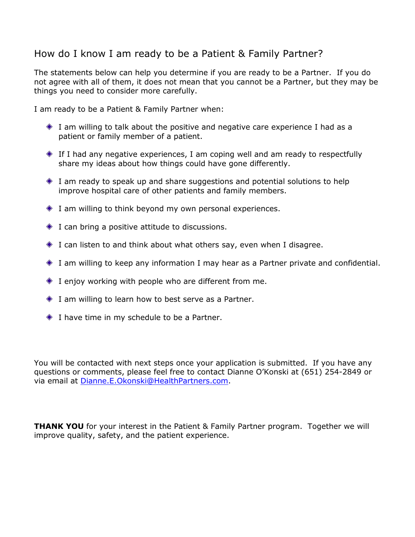# How do I know I am ready to be a Patient & Family Partner?

The statements below can help you determine if you are ready to be a Partner. If you do not agree with all of them, it does not mean that you cannot be a Partner, but they may be things you need to consider more carefully.

I am ready to be a Patient & Family Partner when:

- I am willing to talk about the positive and negative care experience I had as a patient or family member of a patient.
- If I had any negative experiences, I am coping well and am ready to respectfully share my ideas about how things could have gone differently.
- I am ready to speak up and share suggestions and potential solutions to help improve hospital care of other patients and family members.
- I am willing to think beyond my own personal experiences.
- $\bullet$  I can bring a positive attitude to discussions.
- I can listen to and think about what others say, even when I disagree.
- I am willing to keep any information I may hear as a Partner private and confidential.
- $\bullet$  I enjoy working with people who are different from me.
- I am willing to learn how to best serve as a Partner.
- ◆ I have time in my schedule to be a Partner.

You will be contacted with next steps once your application is submitted. If you have any questions or comments, please feel free to contact Dianne O'Konski at (651) 254-2849 or via email at [Dianne.E.Okonski@HealthPartners.com.](mailto:Dianne.E.Okonski@HealthPartners.com)

**THANK YOU** for your interest in the Patient & Family Partner program. Together we will improve quality, safety, and the patient experience.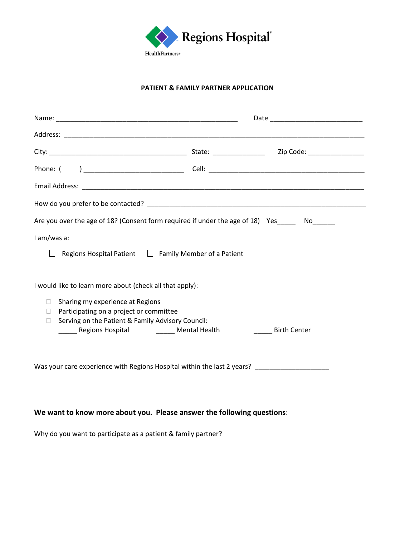

#### **PATIENT & FAMILY PARTNER APPLICATION**

| Are you over the age of 18? (Consent form required if under the age of 18) Yes No |  |  |
|-----------------------------------------------------------------------------------|--|--|
|                                                                                   |  |  |
| Regions Hospital Patient $\Box$ Family Member of a Patient                        |  |  |
|                                                                                   |  |  |
|                                                                                   |  |  |
|                                                                                   |  |  |
| Serving on the Patient & Family Advisory Council:                                 |  |  |
| ______ Regions Hospital ___________ Mental Health<br><b>Birth Center</b>          |  |  |
|                                                                                   |  |  |
| Was your care experience with Regions Hospital within the last 2 years?           |  |  |
|                                                                                   |  |  |

#### **We want to know more about you. Please answer the following questions**:

Why do you want to participate as a patient & family partner?